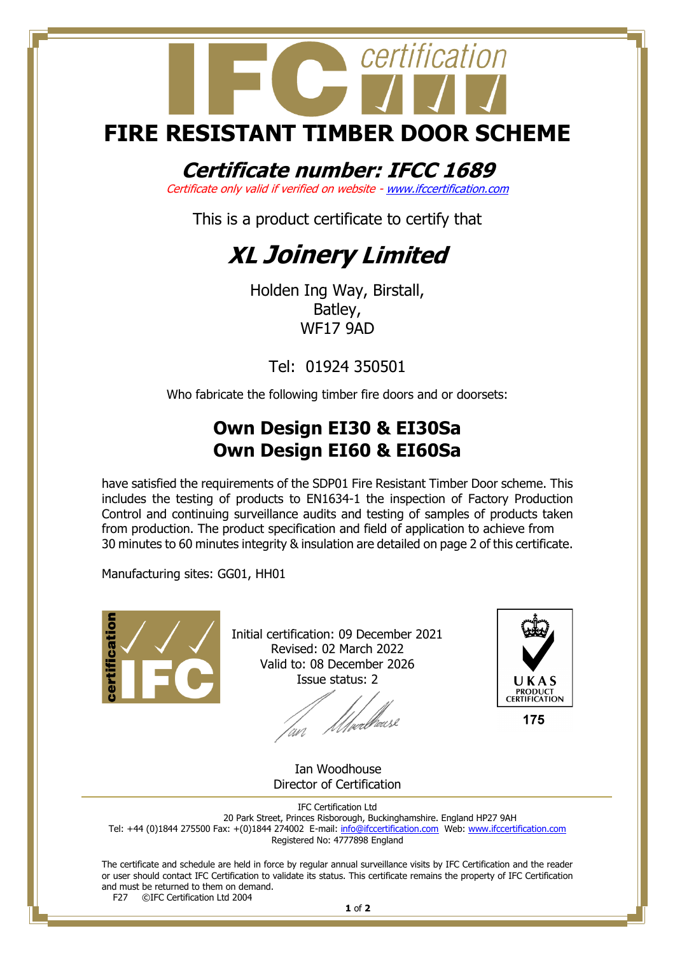## certification **FIRE RESISTANT TIMBER DOOR SCHEME**

#### **Certificate number: IFCC 1689**

Certificate only valid if verified on website - [www.ifccertification.com](http://www.ifccertification.com/)

This is a product certificate to certify that

### **XL Joinery Limited**

Holden Ing Way, Birstall, Batley, WF17 9AD

Tel: 01924 350501

Who fabricate the following timber fire doors and or doorsets:

#### **Own Design EI30 & EI30Sa Own Design EI60 & EI60Sa**

have satisfied the requirements of the SDP01 Fire Resistant Timber Door scheme. This includes the testing of products to EN1634-1 the inspection of Factory Production Control and continuing surveillance audits and testing of samples of products taken from production. The product specification and field of application to achieve from 30 minutes to 60 minutes integrity & insulation are detailed on page 2 of this certificate.

Manufacturing sites: GG01, HH01



Initial certification: 09 December 2021 Revised: 02 March 2022 Valid to: 08 December 2026 Issue status: 2

t<br>fyerli<sup>ff</sup>æusl



 Ian Woodhouse Director of Certification

IFC Certification Ltd 20 Park Street, Princes Risborough, Buckinghamshire. England HP27 9AH Tel: +44 (0)1844 275500 Fax: +(0)1844 274002 E-mail[: info@ifccertification.com](mailto:info@ifccertification.com) Web: [www.ifccertification.com](http://www.ifccertification.com/) Registered No: 4777898 England

The certificate and schedule are held in force by regular annual surveillance visits by IFC Certification and the reader or user should contact IFC Certification to validate its status. This certificate remains the property of IFC Certification and must be returned to them on demand.<br>F27 ©IFC Certification Ltd 2004 ©IFC Certification Ltd 2004

**1** of **2**